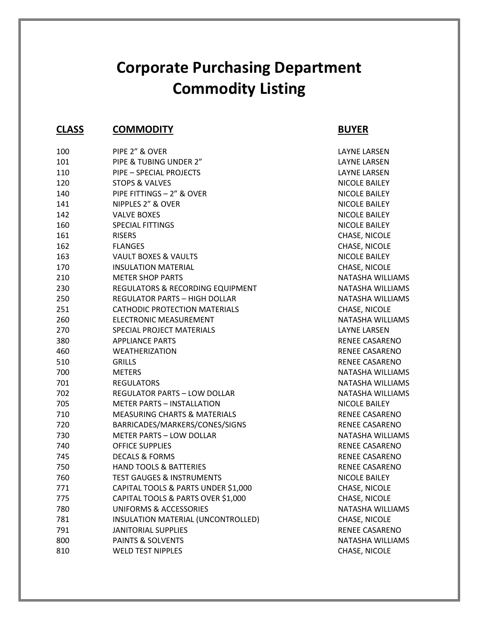# **Corporate Purchasing Department Commodity Listing**

### **CLASS COMMODITY BUYER**

| 100 | PIPE 2" & OVER                          | <b>LAYNE LARSEN</b>   |
|-----|-----------------------------------------|-----------------------|
| 101 | PIPE & TUBING UNDER 2"                  | <b>LAYNE LARSEN</b>   |
| 110 | PIPE - SPECIAL PROJECTS                 | <b>LAYNE LARSEN</b>   |
| 120 | <b>STOPS &amp; VALVES</b>               | NICOLE BAILEY         |
| 140 | PIPE FITTINGS - 2" & OVER               | NICOLE BAILEY         |
| 141 | NIPPLES 2" & OVER                       | NICOLE BAILEY         |
| 142 | <b>VALVE BOXES</b>                      | NICOLE BAILEY         |
| 160 | <b>SPECIAL FITTINGS</b>                 | NICOLE BAILEY         |
| 161 | <b>RISERS</b>                           | CHASE, NICOLE         |
| 162 | <b>FLANGES</b>                          | CHASE, NICOLE         |
| 163 | VAULT BOXES & VAULTS                    | NICOLE BAILEY         |
| 170 | <b>INSULATION MATERIAL</b>              | CHASE, NICOLE         |
| 210 | <b>METER SHOP PARTS</b>                 | NATASHA WILLIAMS      |
| 230 | REGULATORS & RECORDING EQUIPMENT        | NATASHA WILLIAMS      |
| 250 | <b>REGULATOR PARTS - HIGH DOLLAR</b>    | NATASHA WILLIAMS      |
| 251 | <b>CATHODIC PROTECTION MATERIALS</b>    | CHASE, NICOLE         |
| 260 | ELECTRONIC MEASUREMENT                  | NATASHA WILLIAMS      |
| 270 | SPECIAL PROJECT MATERIALS               | <b>LAYNE LARSEN</b>   |
| 380 | <b>APPLIANCE PARTS</b>                  | RENEE CASARENO        |
| 460 | <b>WEATHERIZATION</b>                   | <b>RENEE CASARENO</b> |
| 510 | <b>GRILLS</b>                           | <b>RENEE CASARENO</b> |
| 700 | <b>METERS</b>                           | NATASHA WILLIAMS      |
| 701 | <b>REGULATORS</b>                       | NATASHA WILLIAMS      |
| 702 | <b>REGULATOR PARTS - LOW DOLLAR</b>     | NATASHA WILLIAMS      |
| 705 | <b>METER PARTS - INSTALLATION</b>       | NICOLE BAILEY         |
| 710 | <b>MEASURING CHARTS &amp; MATERIALS</b> | RENEE CASARENO        |
| 720 | BARRICADES/MARKERS/CONES/SIGNS          | RENEE CASARENO        |
| 730 | <b>METER PARTS - LOW DOLLAR</b>         | NATASHA WILLIAMS      |
| 740 | <b>OFFICE SUPPLIES</b>                  | RENEE CASARENO        |
| 745 | <b>DECALS &amp; FORMS</b>               | <b>RENEE CASARENO</b> |
| 750 | <b>HAND TOOLS &amp; BATTERIES</b>       | RENEE CASARENO        |
| 760 | <b>TEST GAUGES &amp; INSTRUMENTS</b>    | NICOLE BAILEY         |
| 771 | CAPITAL TOOLS & PARTS UNDER \$1,000     | CHASE, NICOLE         |
| 775 | CAPITAL TOOLS & PARTS OVER \$1,000      | CHASE, NICOLE         |
| 780 | UNIFORMS & ACCESSORIES                  | NATASHA WILLIAMS      |
| 781 | INSULATION MATERIAL (UNCONTROLLED)      | CHASE, NICOLE         |
| 791 | <b>JANITORIAL SUPPLIES</b>              | RENEE CASARENO        |
| 800 | <b>PAINTS &amp; SOLVENTS</b>            | NATASHA WILLIAMS      |
| 810 | <b>WELD TEST NIPPLES</b>                | CHASE, NICOLE         |
|     |                                         |                       |